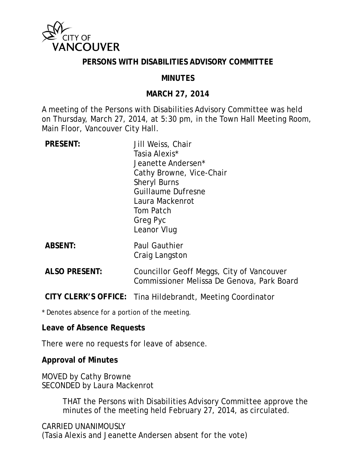

#### **PERSONS WITH DISABILITIES ADVISORY COMMITTEE**

#### **MINUTES**

#### **MARCH 27, 2014**

A meeting of the Persons with Disabilities Advisory Committee was held on Thursday, March 27, 2014, at 5:30 pm, in the Town Hall Meeting Room, Main Floor, Vancouver City Hall.

| <b>PRESENT:</b>      | Jill Weiss, Chair                          |
|----------------------|--------------------------------------------|
|                      | Tasia Alexis*                              |
|                      | Jeanette Andersen*                         |
|                      | Cathy Browne, Vice-Chair                   |
|                      | <b>Sheryl Burns</b>                        |
|                      | <b>Guillaume Dufresne</b>                  |
|                      | Laura Mackenrot                            |
|                      | Tom Patch                                  |
|                      | Greg Pyc                                   |
|                      | Leanor Vlug                                |
| <b>ABSENT:</b>       | <b>Paul Gauthier</b>                       |
|                      | Craig Langston                             |
|                      |                                            |
| <b>ALSO PRESENT:</b> | Councillor Geoff Meggs, City of Vancouver  |
|                      | Commissioner Melissa De Genova, Park Board |

**CITY CLERK'S OFFICE:** Tina Hildebrandt, Meeting Coordinator

\* Denotes absence for a portion of the meeting.

#### **Leave of Absence Requests**

There were no requests for leave of absence.

**Approval of Minutes** 

MOVED by Cathy Browne SECONDED by Laura Mackenrot

> THAT the Persons with Disabilities Advisory Committee approve the minutes of the meeting held February 27, 2014, as circulated.

CARRIED UNANIMOUSLY (Tasia Alexis and Jeanette Andersen absent for the vote)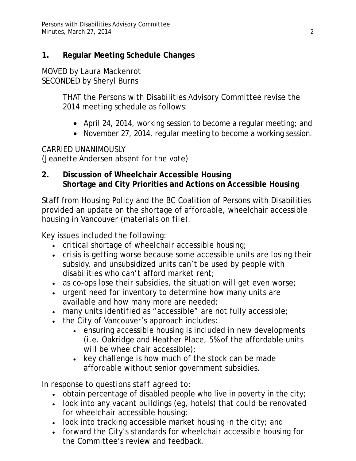# **1. Regular Meeting Schedule Changes**

#### MOVED by Laura Mackenrot SECONDED by Sheryl Burns

THAT the Persons with Disabilities Advisory Committee revise the 2014 meeting schedule as follows:

- April 24, 2014, working session to become a regular meeting; and
- November 27, 2014, regular meeting to become a working session.

## CARRIED UNANIMOUSLY

(Jeanette Andersen absent for the vote)

## **2. Discussion of Wheelchair Accessible Housing Shortage and City Priorities and Actions on Accessible Housing**

Staff from Housing Policy and the BC Coalition of Persons with Disabilities provided an update on the shortage of affordable, wheelchair accessible housing in Vancouver *(materials on file)*.

## *Key issues included the following:*

- critical shortage of wheelchair accessible housing;
- crisis is getting worse because some accessible units are losing their subsidy, and unsubsidized units can't be used by people with disabilities who can't afford market rent;
- as co-ops lose their subsidies, the situation will get even worse;
- urgent need for inventory to determine how many units are available and how many more are needed;
- many units identified as "accessible" are not fully accessible;
- the City of Vancouver's approach includes:
	- ensuring accessible housing is included in new developments (i.e. Oakridge and Heather Place, 5% of the affordable units will be wheelchair accessible);
	- key challenge is how much of the stock can be made affordable without senior government subsidies.

# *In response to questions staff agreed to:*

- obtain percentage of disabled people who live in poverty in the city;
- look into any vacant buildings (eg, hotels) that could be renovated for wheelchair accessible housing;
- $\bullet$  look into tracking accessible market housing in the city; and
- forward the City's standards for wheelchair accessible housing for the Committee's review and feedback.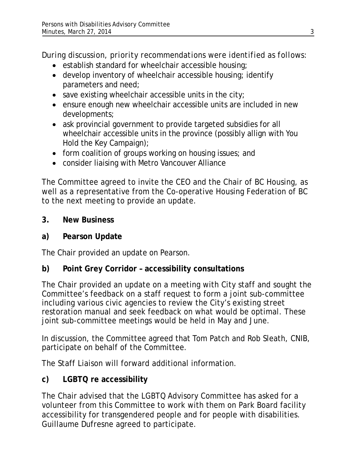*During discussion, priority recommendations were identified as follows:* 

- establish standard for wheelchair accessible housing;
- develop inventory of wheelchair accessible housing; identify parameters and need;
- $\bullet$  save existing wheelchair accessible units in the city;
- ensure enough new wheelchair accessible units are included in new developments;
- ask provincial government to provide targeted subsidies for all wheelchair accessible units in the province (possibly allign with You Hold the Key Campaign);
- form coalition of groups working on housing issues; and
- consider liaising with Metro Vancouver Alliance

The Committee agreed to invite the CEO and the Chair of BC Housing, as well as a representative from the Co-operative Housing Federation of BC to the next meeting to provide an update.

**3. New Business** 

## **a) Pearson Update**

The Chair provided an update on Pearson.

## **b) Point Grey Corridor – accessibility consultations**

The Chair provided an update on a meeting with City staff and sought the Committee's feedback on a staff request to form a joint sub-committee including various civic agencies to review the City's existing street restoration manual and seek feedback on what would be optimal. These joint sub-committee meetings would be held in May and June.

In discussion, the Committee agreed that Tom Patch and Rob Sleath, CNIB, participate on behalf of the Committee.

The Staff Liaison will forward additional information.

## **c) LGBTQ re accessibility**

The Chair advised that the LGBTQ Advisory Committee has asked for a volunteer from this Committee to work with them on Park Board facility accessibility for transgendered people and for people with disabilities. Guillaume Dufresne agreed to participate.